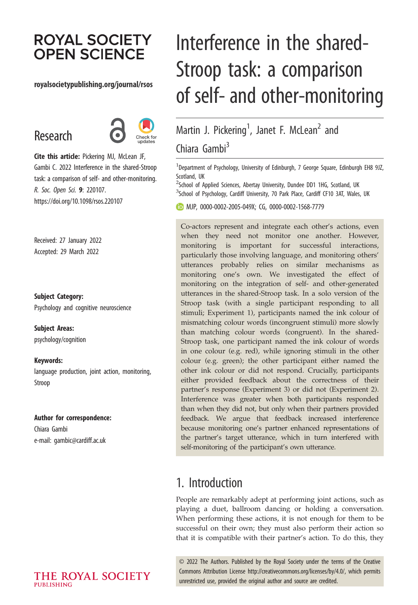# **ROYAL SOCIETY OPEN SCIENCE**

### royalsocietypublishing.org/journal/rsos

# Research



Cite this article: Pickering MJ, McLean JF, Gambi C. 2022 Interference in the shared-Stroop task: a comparison of self- and other-monitoring. R. Soc. Open Sci. 9: 220107. https://doi.org/10.1098/rsos.220107

Received: 27 January 2022 Accepted: 29 March 2022

Subject Category:

Psychology and cognitive neuroscience

Subject Areas: psychology/cognition

Keywords: language production, joint action, monitoring, Stroop

#### Author for correspondence:

Chiara Gambi e-mail: [gambic@cardiff.ac.uk](mailto:gambic@cardiff.ac.uk)

# Interference in the shared-Stroop task: a comparison of self- and other-monitoring

# Martin J. Pickering<sup>1</sup>, Janet F. McLean<sup>2</sup> and Chiara Gamhi $<sup>3</sup>$ </sup>

 $^1$ Department of Psychology, University of Edinburgh, 7 George Square, Edinburgh EH8 9JZ, Scotland, UK

<sup>2</sup>School of Applied Sciences, Abertay University, Dundee DD1 1HG, Scotland, UK  ${}^{3}$ School of Psychology, Cardiff University, 70 Park Place, Cardiff CF10 3AT, Wales, UK

MJP, [0000-0002-2005-049X](http://orcid.org/0000-0002-2005-049X); CG, [0000-0002-1568-7779](http://orcid.org/0000-0002-1568-7779)

Co-actors represent and integrate each other's actions, even when they need not monitor one another. However, monitoring is important for successful interactions, particularly those involving language, and monitoring others' utterances probably relies on similar mechanisms as monitoring one's own. We investigated the effect of monitoring on the integration of self- and other-generated utterances in the shared-Stroop task. In a solo version of the Stroop task (with a single participant responding to all stimuli; Experiment 1), participants named the ink colour of mismatching colour words (incongruent stimuli) more slowly than matching colour words (congruent). In the shared-Stroop task, one participant named the ink colour of words in one colour (e.g. red), while ignoring stimuli in the other colour (e.g. green); the other participant either named the other ink colour or did not respond. Crucially, participants either provided feedback about the correctness of their partner's response (Experiment 3) or did not (Experiment 2). Interference was greater when both participants responded than when they did not, but only when their partners provided feedback. We argue that feedback increased interference because monitoring one's partner enhanced representations of the partner's target utterance, which in turn interfered with self-monitoring of the participant's own utterance.

# 1. Introduction

People are remarkably adept at performing joint actions, such as playing a duet, ballroom dancing or holding a conversation. When performing these actions, it is not enough for them to be successful on their own; they must also perform their action so that it is compatible with their partner's action. To do this, they

© 2022 The Authors. Published by the Royal Society under the terms of the Creative Commons Attribution License<http://creativecommons.org/licenses/by/4.0/>, which permits unrestricted use, provided the original author and source are credited.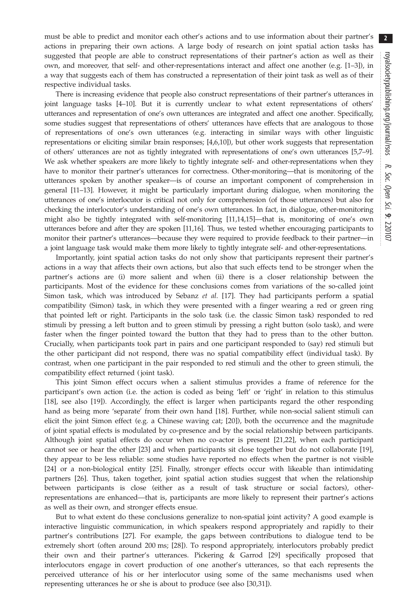must be able to predict and monitor each other's actions and to use information about their partner's actions in preparing their own actions. A large body of research on joint spatial action tasks has suggested that people are able to construct representations of their partner's action as well as their own, and moreover, that self- and other-representations interact and affect one another (e.g. [[1](#page-9-0)–[3](#page-9-0)]), in a way that suggests each of them has constructed a representation of their joint task as well as of their respective individual tasks.

There is increasing evidence that people also construct representations of their partner's utterances in joint language tasks [\[4](#page-9-0)–[10\]](#page-9-0). But it is currently unclear to what extent representations of others' utterances and representation of one's own utterances are integrated and affect one another. Specifically, some studies suggest that representations of others' utterances have effects that are analogous to those of representations of one's own utterances (e.g. interacting in similar ways with other linguistic representations or eliciting similar brain responses; [\[4,6,10](#page-9-0)]), but other work suggests that representation of others' utterances are not as tightly integrated with representations of one's own utterances [[5,7](#page-9-0)–[9](#page-9-0)]. We ask whether speakers are more likely to tightly integrate self- and other-representations when they have to monitor their partner's utterances for correctness. Other-monitoring—that is monitoring of the utterances spoken by another speaker—is of course an important component of comprehension in general [\[11](#page-9-0)–[13\]](#page-9-0). However, it might be particularly important during dialogue, when monitoring the utterances of one's interlocutor is critical not only for comprehension (of those utterances) but also for checking the interlocutor's understanding of one's own utterances. In fact, in dialogue, other-monitoring might also be tightly integrated with self-monitoring [[11,14,15\]](#page-9-0)—that is, monitoring of one's own utterances before and after they are spoken [[11,16\]](#page-9-0). Thus, we tested whether encouraging participants to monitor their partner's utterances—because they were required to provide feedback to their partner—in a joint language task would make them more likely to tightly integrate self- and other-representations.

Importantly, joint spatial action tasks do not only show that participants represent their partner's actions in a way that affects their own actions, but also that such effects tend to be stronger when the partner's actions are (i) more salient and when (ii) there is a closer relationship between the participants. Most of the evidence for these conclusions comes from variations of the so-called joint Simon task, which was introduced by Sebanz *et al.* [\[17](#page-9-0)]. They had participants perform a spatial compatibility (Simon) task, in which they were presented with a finger wearing a red or green ring that pointed left or right. Participants in the solo task (i.e. the classic Simon task) responded to red stimuli by pressing a left button and to green stimuli by pressing a right button (solo task), and were faster when the finger pointed toward the button that they had to press than to the other button. Crucially, when participants took part in pairs and one participant responded to (say) red stimuli but the other participant did not respond, there was no spatial compatibility effect (individual task). By contrast, when one participant in the pair responded to red stimuli and the other to green stimuli, the compatibility effect returned ( joint task).

This joint Simon effect occurs when a salient stimulus provides a frame of reference for the participant's own action (i.e. the action is coded as being 'left' or 'right' in relation to this stimulus [\[18](#page-9-0)], see also [\[19](#page-9-0)]). Accordingly, the effect is larger when participants regard the other responding hand as being more 'separate' from their own hand [\[18](#page-9-0)]. Further, while non-social salient stimuli can elicit the joint Simon effect (e.g. a Chinese waving cat; [[20\]](#page-9-0)), both the occurrence and the magnitude of joint spatial effects is modulated by co-presence and by the social relationship between participants. Although joint spatial effects do occur when no co-actor is present [[21,22](#page-9-0)], when each participant cannot see or hear the other [[23\]](#page-9-0) and when participants sit close together but do not collaborate [\[19](#page-9-0)], they appear to be less reliable: some studies have reported no effects when the partner is not visible [\[24](#page-9-0)] or a non-biological entity [\[25](#page-9-0)]. Finally, stronger effects occur with likeable than intimidating partners [[26](#page-9-0)]. Thus, taken together, joint spatial action studies suggest that when the relationship between participants is close (either as a result of task structure or social factors), otherrepresentations are enhanced—that is, participants are more likely to represent their partner's actions as well as their own, and stronger effects ensue.

But to what extent do these conclusions generalize to non-spatial joint activity? A good example is interactive linguistic communication, in which speakers respond appropriately and rapidly to their partner's contributions [\[27](#page-9-0)]. For example, the gaps between contributions to dialogue tend to be extremely short (often around 200 ms; [\[28](#page-9-0)]). To respond appropriately, interlocutors probably predict their own and their partner's utterances. Pickering & Garrod [\[29](#page-9-0)] specifically proposed that interlocutors engage in covert production of one another's utterances, so that each represents the perceived utterance of his or her interlocutor using some of the same mechanisms used when representing utterances he or she is about to produce (see also [\[30,31](#page-9-0)]).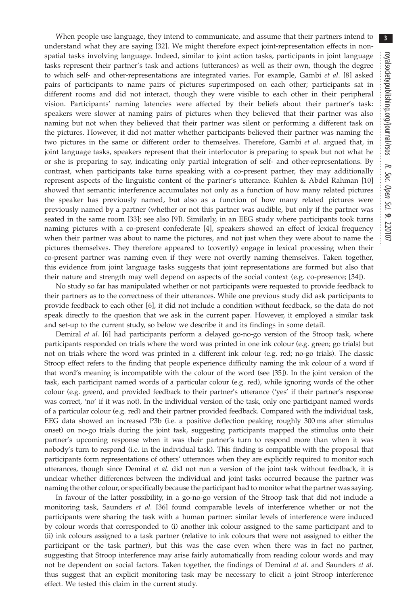When people use language, they intend to communicate, and assume that their partners intend to understand what they are saying [\[32](#page-9-0)]. We might therefore expect joint-representation effects in nonspatial tasks involving language. Indeed, similar to joint action tasks, participants in joint language tasks represent their partner's task and actions (utterances) as well as their own, though the degree to which self- and other-representations are integrated varies. For example, Gambi et al. [[8](#page-9-0)] asked pairs of participants to name pairs of pictures superimposed on each other; participants sat in different rooms and did not interact, though they were visible to each other in their peripheral vision. Participants' naming latencies were affected by their beliefs about their partner's task: speakers were slower at naming pairs of pictures when they believed that their partner was also naming but not when they believed that their partner was silent or performing a different task on the pictures. However, it did not matter whether participants believed their partner was naming the two pictures in the same or different order to themselves. Therefore, Gambi et al. argued that, in joint language tasks, speakers represent that their interlocutor is preparing to speak but not what he or she is preparing to say, indicating only partial integration of self- and other-representations. By contrast, when participants take turns speaking with a co-present partner, they may additionally represent aspects of the linguistic content of the partner's utterance. Kuhlen & Abdel Rahman [\[10\]](#page-9-0) showed that semantic interference accumulates not only as a function of how many related pictures the speaker has previously named, but also as a function of how many related pictures were previously named by a partner (whether or not this partner was audible, but only if the partner was seated in the same room [[33](#page-9-0)]; see also [[9](#page-9-0)]). Similarly, in an EEG study where participants took turns naming pictures with a co-present confederate [[4\]](#page-9-0), speakers showed an effect of lexical frequency when their partner was about to name the pictures, and not just when they were about to name the pictures themselves. They therefore appeared to (covertly) engage in lexical processing when their co-present partner was naming even if they were not overtly naming themselves. Taken together, this evidence from joint language tasks suggests that joint representations are formed but also that their nature and strength may well depend on aspects of the social context (e.g. co-presence; [[34\]](#page-9-0)).

No study so far has manipulated whether or not participants were requested to provide feedback to their partners as to the correctness of their utterances. While one previous study did ask participants to provide feedback to each other [\[6\]](#page-9-0), it did not include a condition without feedback, so the data do not speak directly to the question that we ask in the current paper. However, it employed a similar task and set-up to the current study, so below we describe it and its findings in some detail.

Demiral *et al.* [\[6](#page-9-0)] had participants perform a delayed go-no-go version of the Stroop task, where participants responded on trials where the word was printed in one ink colour (e.g. green; go trials) but not on trials where the word was printed in a different ink colour (e.g. red; no-go trials). The classic Stroop effect refers to the finding that people experience difficulty naming the ink colour of a word if that word's meaning is incompatible with the colour of the word (see [\[35\]](#page-9-0)). In the joint version of the task, each participant named words of a particular colour (e.g. red), while ignoring words of the other colour (e.g. green), and provided feedback to their partner's utterance ('yes' if their partner's response was correct, 'no' if it was not). In the individual version of the task, only one participant named words of a particular colour (e.g. red) and their partner provided feedback. Compared with the individual task, EEG data showed an increased P3b (i.e. a positive deflection peaking roughly 300 ms after stimulus onset) on no-go trials during the joint task, suggesting participants mapped the stimulus onto their partner's upcoming response when it was their partner's turn to respond more than when it was nobody's turn to respond (i.e. in the individual task). This finding is compatible with the proposal that participants form representations of others' utterances when they are explicitly required to monitor such utterances, though since Demiral et al. did not run a version of the joint task without feedback, it is unclear whether differences between the individual and joint tasks occurred because the partner was naming the other colour, or specifically because the participant had to monitor what the partner was saying.

In favour of the latter possibility, in a go-no-go version of the Stroop task that did not include a monitoring task, Saunders et al. [[36\]](#page-9-0) found comparable levels of interference whether or not the participants were sharing the task with a human partner: similar levels of interference were induced by colour words that corresponded to (i) another ink colour assigned to the same participant and to (ii) ink colours assigned to a task partner (relative to ink colours that were not assigned to either the participant or the task partner), but this was the case even when there was in fact no partner, suggesting that Stroop interference may arise fairly automatically from reading colour words and may not be dependent on social factors. Taken together, the findings of Demiral et al. and Saunders et al. thus suggest that an explicit monitoring task may be necessary to elicit a joint Stroop interference effect. We tested this claim in the current study.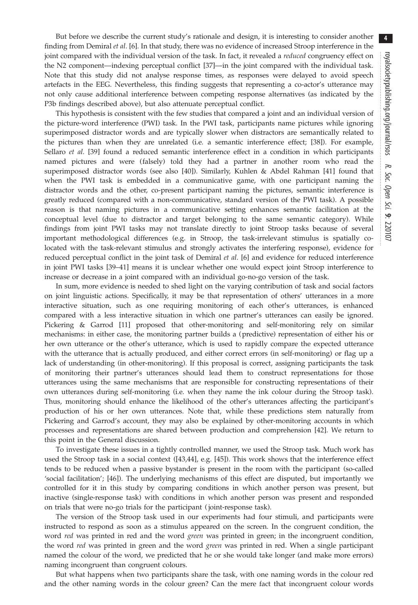But before we describe the current study's rationale and design, it is interesting to consider another finding from Demiral *et al.* [\[6\]](#page-9-0). In that study, there was no evidence of increased Stroop interference in the joint compared with the individual version of the task. In fact, it revealed a *reduced* congruency effect on the N2 component—indexing perceptual conflict [[37\]](#page-9-0)—in the joint compared with the individual task. Note that this study did not analyse response times, as responses were delayed to avoid speech artefacts in the EEG. Nevertheless, this finding suggests that representing a co-actor's utterance may not only cause additional interference between competing response alternatives (as indicated by the P3b findings described above), but also attenuate perceptual conflict.

This hypothesis is consistent with the few studies that compared a joint and an individual version of the picture-word interference (PWI) task. In the PWI task, participants name pictures while ignoring superimposed distractor words and are typically slower when distractors are semantically related to the pictures than when they are unrelated (i.e. a semantic interference effect; [\[38](#page-9-0)]). For example, Sellaro et al. [[39\]](#page-10-0) found a reduced semantic interference effect in a condition in which participants named pictures and were (falsely) told they had a partner in another room who read the superimposed distractor words (see also [[40\]](#page-10-0)). Similarly, Kuhlen & Abdel Rahman [[41\]](#page-10-0) found that when the PWI task is embedded in a communicative game, with one participant naming the distractor words and the other, co-present participant naming the pictures, semantic interference is greatly reduced (compared with a non-communicative, standard version of the PWI task). A possible reason is that naming pictures in a communicative setting enhances semantic facilitation at the conceptual level (due to distractor and target belonging to the same semantic category). While findings from joint PWI tasks may not translate directly to joint Stroop tasks because of several important methodological differences (e.g. in Stroop, the task-irrelevant stimulus is spatially colocated with the task-relevant stimulus and strongly activates the interfering response), evidence for reduced perceptual conflict in the joint task of Demiral et al. [[6](#page-9-0)] and evidence for reduced interference in joint PWI tasks [[39](#page-10-0)–[41](#page-10-0)] means it is unclear whether one would expect joint Stroop interference to increase or decrease in a joint compared with an individual go-no-go version of the task.

In sum, more evidence is needed to shed light on the varying contribution of task and social factors on joint linguistic actions. Specifically, it may be that representation of others' utterances in a more interactive situation, such as one requiring monitoring of each other's utterances, is enhanced compared with a less interactive situation in which one partner's utterances can easily be ignored. Pickering & Garrod [\[11](#page-9-0)] proposed that other-monitoring and self-monitoring rely on similar mechanisms: in either case, the monitoring partner builds a (predictive) representation of either his or her own utterance or the other's utterance, which is used to rapidly compare the expected utterance with the utterance that is actually produced, and either correct errors (in self-monitoring) or flag up a lack of understanding (in other-monitoring). If this proposal is correct, assigning participants the task of monitoring their partner's utterances should lead them to construct representations for those utterances using the same mechanisms that are responsible for constructing representations of their own utterances during self-monitoring (i.e. when they name the ink colour during the Stroop task). Thus, monitoring should enhance the likelihood of the other's utterances affecting the participant's production of his or her own utterances. Note that, while these predictions stem naturally from Pickering and Garrod's account, they may also be explained by other-monitoring accounts in which processes and representations are shared between production and comprehension [[42\]](#page-10-0). We return to this point in the General discussion.

To investigate these issues in a tightly controlled manner, we used the Stroop task. Much work has used the Stroop task in a social context ([\[43](#page-10-0),[44\]](#page-10-0), e.g. [[45\]](#page-10-0)). This work shows that the interference effect tends to be reduced when a passive bystander is present in the room with the participant (so-called 'social facilitation'; [[46\]](#page-10-0)). The underlying mechanisms of this effect are disputed, but importantly we controlled for it in this study by comparing conditions in which another person was present, but inactive (single-response task) with conditions in which another person was present and responded on trials that were no-go trials for the participant ( joint-response task).

The version of the Stroop task used in our experiments had four stimuli, and participants were instructed to respond as soon as a stimulus appeared on the screen. In the congruent condition, the word red was printed in red and the word green was printed in green; in the incongruent condition, the word red was printed in green and the word green was printed in red. When a single participant named the colour of the word, we predicted that he or she would take longer (and make more errors) naming incongruent than congruent colours.

But what happens when two participants share the task, with one naming words in the colour red and the other naming words in the colour green? Can the mere fact that incongruent colour words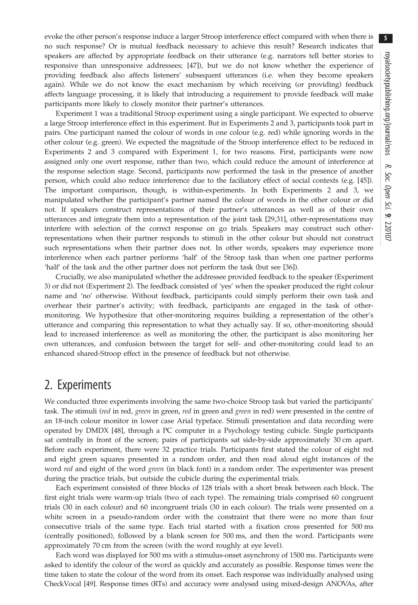evoke the other person's response induce a larger Stroop interference effect compared with when there is no such response? Or is mutual feedback necessary to achieve this result? Research indicates that speakers are affected by appropriate feedback on their utterance (e.g. narrators tell better stories to responsive than unresponsive addressees; [[47\]](#page-10-0)), but we do not know whether the experience of providing feedback also affects listeners' subsequent utterances (i.e. when they become speakers again). While we do not know the exact mechanism by which receiving (or providing) feedback affects language processing, it is likely that introducing a requirement to provide feedback will make participants more likely to closely monitor their partner's utterances.

Experiment 1 was a traditional Stroop experiment using a single participant. We expected to observe a large Stroop interference effect in this experiment. But in Experiments 2 and 3, participants took part in pairs. One participant named the colour of words in one colour (e.g. red) while ignoring words in the other colour (e.g. green). We expected the magnitude of the Stroop interference effect to be reduced in Experiments 2 and 3 compared with Experiment 1, for two reasons. First, participants were now assigned only one overt response, rather than two, which could reduce the amount of interference at the response selection stage. Second, participants now performed the task in the presence of another person, which could also reduce interference due to the faciliatory effect of social contexts (e.g. [\[45](#page-10-0)]). The important comparison, though, is within-experiments. In both Experiments 2 and 3, we manipulated whether the participant's partner named the colour of words in the other colour or did not. If speakers construct representations of their partner's utterances as well as of their own utterances and integrate them into a representation of the joint task [\[29,31](#page-9-0)], other-representations may interfere with selection of the correct response on go trials. Speakers may construct such otherrepresentations when their partner responds to stimuli in the other colour but should not construct such representations when their partner does not. In other words, speakers may experience more interference when each partner performs 'half' of the Stroop task than when one partner performs 'half' of the task and the other partner does not perform the task (but see [\[36](#page-9-0)]).

Crucially, we also manipulated whether the addressee provided feedback to the speaker (Experiment 3) or did not (Experiment 2). The feedback consisted of 'yes' when the speaker produced the right colour name and 'no' otherwise. Without feedback, participants could simply perform their own task and overhear their partner's activity; with feedback, participants are engaged in the task of othermonitoring. We hypothesize that other-monitoring requires building a representation of the other's utterance and comparing this representation to what they actually say. If so, other-monitoring should lead to increased interference: as well as monitoring the other, the participant is also monitoring her own utterances, and confusion between the target for self- and other-monitoring could lead to an enhanced shared-Stroop effect in the presence of feedback but not otherwise.

# 2. Experiments

We conducted three experiments involving the same two-choice Stroop task but varied the participants' task. The stimuli (red in red, green in green, red in green and green in red) were presented in the centre of an 18-inch colour monitor in lower case Arial typeface. Stimuli presentation and data recording were operated by DMDX [\[48](#page-10-0)], through a PC computer in a Psychology testing cubicle. Single participants sat centrally in front of the screen; pairs of participants sat side-by-side approximately 30 cm apart. Before each experiment, there were 32 practice trials. Participants first stated the colour of eight red and eight green squares presented in a random order, and then read aloud eight instances of the word red and eight of the word green (in black font) in a random order. The experimenter was present during the practice trials, but outside the cubicle during the experimental trials.

Each experiment consisted of three blocks of 128 trials with a short break between each block. The first eight trials were warm-up trials (two of each type). The remaining trials comprised 60 congruent trials (30 in each colour) and 60 incongruent trials (30 in each colour). The trials were presented on a white screen in a pseudo-random order with the constraint that there were no more than four consecutive trials of the same type. Each trial started with a fixation cross presented for 500 ms (centrally positioned), followed by a blank screen for 500 ms, and then the word. Participants were approximately 70 cm from the screen (with the word roughly at eye level).

Each word was displayed for 500 ms with a stimulus-onset asynchrony of 1500 ms. Participants were asked to identify the colour of the word as quickly and accurately as possible. Response times were the time taken to state the colour of the word from its onset. Each response was individually analysed using CheckVocal [\[49](#page-10-0)]. Response times (RTs) and accuracy were analysed using mixed-design ANOVAs, after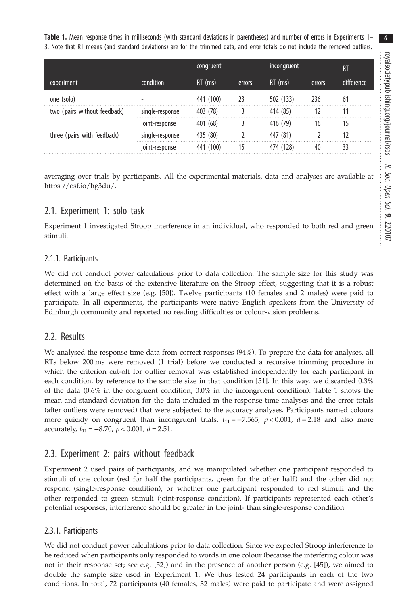<span id="page-5-0"></span>Table 1. Mean response times in milliseconds (with standard deviations in parentheses) and number of errors in Experiments 1– 3. Note that RT means (and standard deviations) are for the trimmed data, and error totals do not include the removed outliers.

|                              |                 | congruent |        | incongruent |        | R <sub>1</sub> |
|------------------------------|-----------------|-----------|--------|-------------|--------|----------------|
| experiment                   | condition       | $RT$ (ms) | errors | $RT$ (ms)   | errors | difference     |
| one (solo)                   | ۰               | 441 (100) | 23     | 502 (133)   | 236    | 61             |
| two (pairs without feedback) | single-response | 403 (78)  |        | 414 (85)    | 12     | 11             |
|                              | joint-response  | 401 (68)  |        | 416 (79)    | 16     | 15             |
| three (pairs with feedback)  | single-response | 435 (80)  |        | 447 (81)    |        | 12             |
|                              | joint-response  | 441 (100) | 15     | 474 (128)   | 40     | 33             |

averaging over trials by participants. All the experimental materials, data and analyses are available at <https://osf.io/hg3du/>.

## 2.1. Experiment 1: solo task

Experiment 1 investigated Stroop interference in an individual, who responded to both red and green stimuli.

## 2.1.1. Participants

We did not conduct power calculations prior to data collection. The sample size for this study was determined on the basis of the extensive literature on the Stroop effect, suggesting that it is a robust effect with a large effect size (e.g. [\[50](#page-10-0)]). Twelve participants (10 females and 2 males) were paid to participate. In all experiments, the participants were native English speakers from the University of Edinburgh community and reported no reading difficulties or colour-vision problems.

## 2.2. Results

We analysed the response time data from correct responses (94%). To prepare the data for analyses, all RTs below 200 ms were removed (1 trial) before we conducted a recursive trimming procedure in which the criterion cut-off for outlier removal was established independently for each participant in each condition, by reference to the sample size in that condition [[51](#page-10-0)]. In this way, we discarded 0.3% of the data (0.6% in the congruent condition, 0.0% in the incongruent condition). Table 1 shows the mean and standard deviation for the data included in the response time analyses and the error totals (after outliers were removed) that were subjected to the accuracy analyses. Participants named colours more quickly on congruent than incongruent trials,  $t_{11} = -7.565$ ,  $p < 0.001$ ,  $d = 2.18$  and also more accurately,  $t_{11} = -8.70$ ,  $p < 0.001$ ,  $d = 2.51$ .

## 2.3. Experiment 2: pairs without feedback

Experiment 2 used pairs of participants, and we manipulated whether one participant responded to stimuli of one colour (red for half the participants, green for the other half) and the other did not respond (single-response condition), or whether one participant responded to red stimuli and the other responded to green stimuli (joint-response condition). If participants represented each other's potential responses, interference should be greater in the joint- than single-response condition.

## 2.3.1. Participants

We did not conduct power calculations prior to data collection. Since we expected Stroop interference to be reduced when participants only responded to words in one colour (because the interfering colour was not in their response set; see e.g. [\[52](#page-10-0)]) and in the presence of another person (e.g. [\[45](#page-10-0)]), we aimed to double the sample size used in Experiment 1. We thus tested 24 participants in each of the two conditions. In total, 72 participants (40 females, 32 males) were paid to participate and were assigned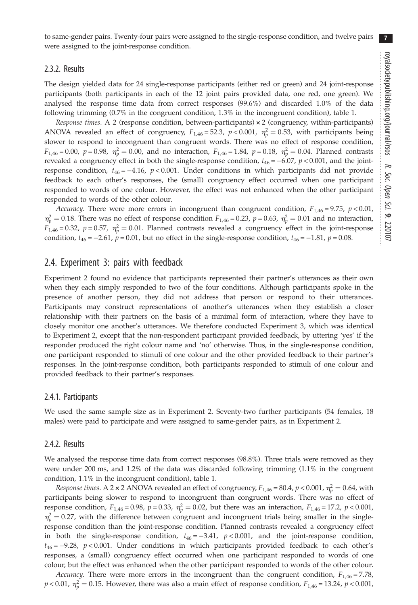7

to same-gender pairs. Twenty-four pairs were assigned to the single-response condition, and twelve pairs were assigned to the joint-response condition.

#### 2.3.2. Results

The design yielded data for 24 single-response participants (either red or green) and 24 joint-response participants (both participants in each of the 12 joint pairs provided data, one red, one green). We analysed the response time data from correct responses (99.6%) and discarded 1.0% of the data following trimming (0.7% in the congruent condition, 1.3% in the incongruent condition), [table 1](#page-5-0).

Response times. A 2 (response condition, between-participants) × 2 (congruency, within-participants) ANOVA revealed an effect of congruency,  $F_{1,46} = 52.3$ ,  $p < 0.001$ ,  $\eta_p^2 = 0.53$ , with participants being slower to respond to incongruent than congruent words. There was no effect of response condition,  $F_{1,46} = 0.00$ ,  $p = 0.98$ ,  $\eta_p^2 = 0.00$ , and no interaction,  $F_{1,46} = 1.84$ ,  $p = 0.18$ ,  $\eta_p^2 = 0.04$ . Planned contrasts revealed a congruency effect in both the single-response condition,  $t_{46} = -6.07$ ,  $p < 0.001$ , and the jointresponse condition,  $t_{46} = -4.16$ ,  $p < 0.001$ . Under conditions in which participants did not provide feedback to each other's responses, the (small) congruency effect occurred when one participant responded to words of one colour. However, the effect was not enhanced when the other participant responded to words of the other colour.

Accuracy. There were more errors in incongruent than congruent condition,  $F_{1,46} = 9.75$ ,  $p < 0.01$ ,  $\eta_p^2 = 0.18$ . There was no effect of response condition  $F_{1,46} = 0.23$ ,  $p = 0.63$ ,  $\eta_p^2 = 0.01$  and no interaction,  $F_{1,46} = 0.32$ ,  $p = 0.57$ ,  $\eta_p^2 = 0.01$ . Planned contrasts revealed a congruency effect in the joint-response condition,  $t_{46} = -2.61$ ,  $p = 0.01$ , but no effect in the single-response condition,  $t_{46} = -1.81$ ,  $p = 0.08$ .

#### 2.4. Experiment 3: pairs with feedback

Experiment 2 found no evidence that participants represented their partner's utterances as their own when they each simply responded to two of the four conditions. Although participants spoke in the presence of another person, they did not address that person or respond to their utterances. Participants may construct representations of another's utterances when they establish a closer relationship with their partners on the basis of a minimal form of interaction, where they have to closely monitor one another's utterances. We therefore conducted Experiment 3, which was identical to Experiment 2, except that the non-respondent participant provided feedback, by uttering 'yes' if the responder produced the right colour name and 'no' otherwise. Thus, in the single-response condition, one participant responded to stimuli of one colour and the other provided feedback to their partner's responses. In the joint-response condition, both participants responded to stimuli of one colour and provided feedback to their partner's responses.

#### 2.4.1. Participants

We used the same sample size as in Experiment 2. Seventy-two further participants (54 females, 18 males) were paid to participate and were assigned to same-gender pairs, as in Experiment 2.

#### 2.4.2. Results

We analysed the response time data from correct responses (98.8%). Three trials were removed as they were under 200 ms, and 1.2% of the data was discarded following trimming (1.1% in the congruent condition, 1.1% in the incongruent condition), [table 1.](#page-5-0)

*Response times.* A 2  $\times$  2 ANOVA revealed an effect of congruency,  $F_{1,46}$  = 80.4,  $p$  < 0.001,  $\eta_p^2$  = 0.64, with participants being slower to respond to incongruent than congruent words. There was no effect of response condition,  $F_{1,46} = 0.98$ ,  $p = 0.33$ ,  $\eta_p^2 = 0.02$ , but there was an interaction,  $F_{1,46} = 17.2$ ,  $p < 0.001$ ,  $\eta_p^2 = 0.27$ , with the difference between congruent and incongruent trials being smaller in the singleresponse condition than the joint-response condition. Planned contrasts revealed a congruency effect in both the single-response condition,  $t_{46} = -3.41$ ,  $p < 0.001$ , and the joint-response condition,  $t_{46} = -9.28$ ,  $p < 0.001$ . Under conditions in which participants provided feedback to each other's responses, a (small) congruency effect occurred when one participant responded to words of one colour, but the effect was enhanced when the other participant responded to words of the other colour.

Accuracy. There were more errors in the incongruent than the congruent condition,  $F_{1,46} = 7.78$ ,  $p < 0.01$ ,  $\eta_p^2 = 0.15$ . However, there was also a main effect of response condition,  $F_{1,46} = 13.24$ ,  $p < 0.001$ ,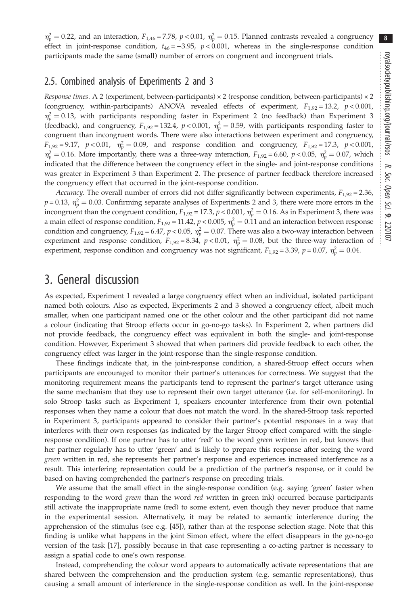$\eta_p^2 = 0.22$ , and an interaction,  $F_{1,46} = 7.78$ ,  $p < 0.01$ ,  $\eta_p^2 = 0.15$ . Planned contrasts revealed a congruency effect in joint-response condition,  $t_{46} = -3.95$ ,  $p < 0.001$ , whereas in the single-response condition participants made the same (small) number of errors on congruent and incongruent trials.

## 2.5. Combined analysis of Experiments 2 and 3

Response times. A 2 (experiment, between-participants)  $\times$  2 (response condition, between-participants)  $\times$  2 (congruency, within-participants) ANOVA revealed effects of experiment,  $F_{1,92} = 13.2$ ,  $p < 0.001$ ,  $\eta_p^2 = 0.13$ , with participants responding faster in Experiment 2 (no feedback) than Experiment 3 (feedback), and congruency,  $F_{1,92} = 132.4$ ,  $p < 0.001$ ,  $\eta_p^2 = 0.59$ , with participants responding faster to congruent than incongruent words. There were also interactions between experiment and congruency,  $F_{1,92} = 9.17$ ,  $p < 0.01$ ,  $\eta_p^2 = 0.09$ , and response condition and congruency,  $F_{1,92} = 17.3$ ,  $p < 0.001$ ,  $\eta_p^2 = 0.16$ . More importantly, there was a three-way interaction,  $F_{1,92} = 6.60$ ,  $p < 0.05$ ,  $\eta_p^2 = 0.07$ , which indicated that the difference between the congruency effect in the single- and joint-response conditions was greater in Experiment 3 than Experiment 2. The presence of partner feedback therefore increased the congruency effect that occurred in the joint-response condition.

Accuracy. The overall number of errors did not differ significantly between experiments,  $F_{1,92} = 2.36$ ,  $p = 0.13$ ,  $\eta_p^2 = 0.03$ . Confirming separate analyses of Experiments 2 and 3, there were more errors in the incongruent than the congruent condition,  $F_{1,92} = 17.3$ ,  $p < 0.001$ ,  $\eta_p^2 = 0.16$ . As in Experiment 3, there was a main effect of response condition,  $F_{1,92}$  = 11.42,  $p$  < 0.005,  $\eta_p^2 = 0.11$  and an interaction between response condition and congruency,  $F_{1,92} = 6.47$ ,  $p < 0.05$ ,  $\eta_p^2 = 0.07$ . There was also a two-way interaction between experiment and response condition,  $F_{1,92} = 8.34$ ,  $p < 0.01$ ,  $\eta_p^2 = 0.08$ , but the three-way interaction of experiment, response condition and congruency was not significant,  $F_{1,92} = 3.39$ ,  $p = 0.07$ ,  $\eta_p^2 = 0.04$ .

# 3. General discussion

As expected, Experiment 1 revealed a large congruency effect when an individual, isolated participant named both colours. Also as expected, Experiments 2 and 3 showed a congruency effect, albeit much smaller, when one participant named one or the other colour and the other participant did not name a colour (indicating that Stroop effects occur in go-no-go tasks). In Experiment 2, when partners did not provide feedback, the congruency effect was equivalent in both the single- and joint-response condition. However, Experiment 3 showed that when partners did provide feedback to each other, the congruency effect was larger in the joint-response than the single-response condition.

These findings indicate that, in the joint-response condition, a shared-Stroop effect occurs when participants are encouraged to monitor their partner's utterances for correctness. We suggest that the monitoring requirement means the participants tend to represent the partner's target utterance using the same mechanism that they use to represent their own target utterance (i.e. for self-monitoring). In solo Stroop tasks such as Experiment 1, speakers encounter interference from their own potential responses when they name a colour that does not match the word. In the shared-Stroop task reported in Experiment 3, participants appeared to consider their partner's potential responses in a way that interferes with their own responses (as indicated by the larger Stroop effect compared with the singleresponse condition). If one partner has to utter 'red' to the word green written in red, but knows that her partner regularly has to utter 'green' and is likely to prepare this response after seeing the word green written in red, she represents her partner's response and experiences increased interference as a result. This interfering representation could be a prediction of the partner's response, or it could be based on having comprehended the partner's response on preceding trials.

We assume that the small effect in the single-response condition (e.g. saying 'green' faster when responding to the word *green* than the word *red* written in green ink) occurred because participants still activate the inappropriate name (red) to some extent, even though they never produce that name in the experimental session. Alternatively, it may be related to semantic interference during the apprehension of the stimulus (see e.g. [[45\]](#page-10-0)), rather than at the response selection stage. Note that this finding is unlike what happens in the joint Simon effect, where the effect disappears in the go-no-go version of the task [\[17](#page-9-0)], possibly because in that case representing a co-acting partner is necessary to assign a spatial code to one's own response.

Instead, comprehending the colour word appears to automatically activate representations that are shared between the comprehension and the production system (e.g. semantic representations), thus causing a small amount of interference in the single-response condition as well. In the joint-response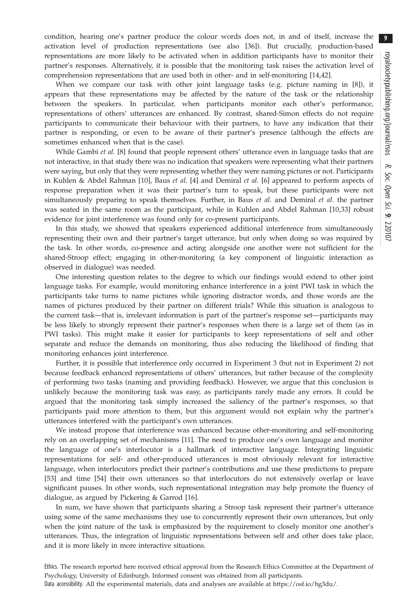condition, hearing one's partner produce the colour words does not, in and of itself, increase the activation level of production representations (see also [\[36](#page-9-0)]). But crucially, production-based representations are more likely to be activated when in addition participants have to monitor their partner's responses. Alternatively, it is possible that the monitoring task raises the activation level of comprehension representations that are used both in other- and in self-monitoring [[14,](#page-9-0)[42](#page-10-0)].

When we compare our task with other joint language tasks (e.g. picture naming in [\[8](#page-9-0)]), it appears that these representations may be affected by the nature of the task or the relationship between the speakers. In particular, when participants monitor each other's performance, representations of others' utterances are enhanced. By contrast, shared-Simon effects do not require participants to communicate their behaviour with their partners, to have any indication that their partner is responding, or even to be aware of their partner's presence (although the effects are sometimes enhanced when that is the case).

While Gambi et al. [\[8\]](#page-9-0) found that people represent others' utterance even in language tasks that are not interactive, in that study there was no indication that speakers were representing what their partners were saying, but only that they were representing whether they were naming pictures or not. Participants in Kuhlen & Abdel Rahman [[10\]](#page-9-0), Baus et al. [\[4\]](#page-9-0) and Demiral et al. [\[6\]](#page-9-0) appeared to perform aspects of response preparation when it was their partner's turn to speak, but these participants were not simultaneously preparing to speak themselves. Further, in Baus et al. and Demiral et al. the partner was seated in the same room as the participant, while in Kuhlen and Abdel Rahman [[10,33\]](#page-9-0) robust evidence for joint interference was found only for co-present participants.

In this study, we showed that speakers experienced additional interference from simultaneously representing their own and their partner's target utterance, but only when doing so was required by the task. In other words, co-presence and acting alongside one another were not sufficient for the shared-Stroop effect; engaging in other-monitoring (a key component of linguistic interaction as observed in dialogue) was needed.

One interesting question relates to the degree to which our findings would extend to other joint language tasks. For example, would monitoring enhance interference in a joint PWI task in which the participants take turns to name pictures while ignoring distractor words, and those words are the names of pictures produced by their partner on different trials? While this situation is analogous to the current task—that is, irrelevant information is part of the partner's response set—participants may be less likely to strongly represent their partner's responses when there is a large set of them (as in PWI tasks). This might make it easier for participants to keep representations of self and other separate and reduce the demands on monitoring, thus also reducing the likelihood of finding that monitoring enhances joint interference.

Further, it is possible that interference only occurred in Experiment 3 (but not in Experiment 2) not because feedback enhanced representations of others' utterances, but rather because of the complexity of performing two tasks (naming and providing feedback). However, we argue that this conclusion is unlikely because the monitoring task was easy, as participants rarely made any errors. It could be argued that the monitoring task simply increased the saliency of the partner's responses, so that participants paid more attention to them, but this argument would not explain why the partner's utterances interfered with the participant's own utterances.

We instead propose that interference was enhanced because other-monitoring and self-monitoring rely on an overlapping set of mechanisms [[11](#page-9-0)]. The need to produce one's own language and monitor the language of one's interlocutor is a hallmark of interactive language. Integrating linguistic representations for self- and other-produced utterances is most obviously relevant for interactive language, when interlocutors predict their partner's contributions and use these predictions to prepare [\[53](#page-10-0)] and time [[54\]](#page-10-0) their own utterances so that interlocutors do not extensively overlap or leave significant pauses. In other words, such representational integration may help promote the fluency of dialogue, as argued by Pickering & Garrod [\[16](#page-9-0)].

In sum, we have shown that participants sharing a Stroop task represent their partner's utterance using some of the same mechanisms they use to concurrently represent their own utterances, but only when the joint nature of the task is emphasized by the requirement to closely monitor one another's utterances. Thus, the integration of linguistic representations between self and other does take place, and it is more likely in more interactive situations.

Ethics. The research reported here received ethical approval from the Research Ethics Committee at the Department of Psychology, University of Edinburgh. Informed consent was obtained from all participants.

Data accessibility. All the experimental materials, data and analyses are available at [https://osf.io/hg3du/.](https://osf.io/hg3du/)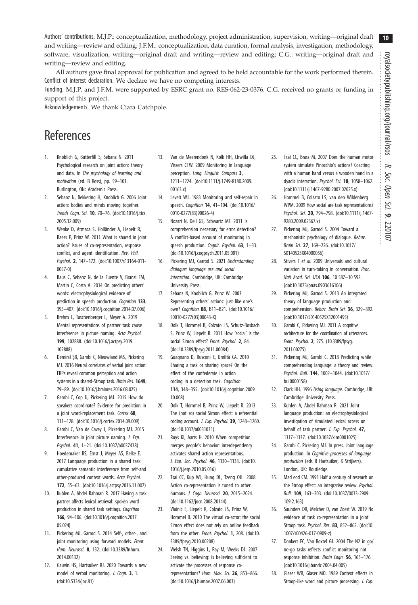<span id="page-9-0"></span>Authors' contributions. M.J.P.: conceptualization, methodology, project administration, supervision, writing—original draft and writing—review and editing; J.F.M.: conceptualization, data curation, formal analysis, investigation, methodology, software, visualization, writing—original draft and writing—review and editing; C.G.: writing—original draft and writing—review and editing.

All authors gave final approval for publication and agreed to be held accountable for the work performed therein. Conflict of interest declaration. We declare we have no competing interests.

Funding. M.J.P. and J.F.M. were supported by ESRC grant no. RES-062-23-0376. C.G. received no grants or funding in support of this project.

Acknowledgements. We thank Ciara Catchpole.

# References

- 1. Knoblich G, Butterfill S, Sebanz N. 2011 Psychological research on joint action: theory and data. In The psychology of learning and motivation (ed. B Ross), pp. 59–101. Burlington, ON: Academic Press.
- Sebanz N, Bekkering H, Knoblich G. 2006 Joint action: bodies and minds moving together. Trends Cogn. Sci. 10, 70–76. [\(doi:10.1016/j.tics.](http://dx.doi.org/10.1016/j.tics.2005.12.009) [2005.12.009](http://dx.doi.org/10.1016/j.tics.2005.12.009))
- 3. Wenke D, Atmaca S, Holländer A, Liepelt R, Baess P, Prinz W. 2011 What is shared in joint action? Issues of co-representation, response conflict, and agent identification. Rev. Phil. Psychol. 2, 147–172. ([doi:10.1007/s13164-011-](http://dx.doi.org/10.1007/s13164-011-0057-0) [0057-0](http://dx.doi.org/10.1007/s13164-011-0057-0))
- 4. Baus C, Sebanz N, de la Fuente V, Branzi FM, Martin C, Costa A. 2014 On predicting others' words: electrophysiological evidence of prediction in speech production. Cognition 133, 395–407. ([doi:10.1016/j.cognition.2014.07.006\)](http://dx.doi.org/10.1016/j.cognition.2014.07.006)
- 5. Brehm L, Taschenberger L, Meyer A. 2019 Mental representations of partner task cause interference in picture naming. Acta Psychol. 199, 102888. [\(doi:10.1016/j.actpsy.2019.](http://dx.doi.org/10.1016/j.actpsy.2019.102888) [102888\)](http://dx.doi.org/10.1016/j.actpsy.2019.102888)
- 6. Demiral ŞB, Gambi C, Nieuwland MS, Pickering MJ. 2016 Neural correlates of verbal joint action: ERPs reveal common perception and action systems in a shared-Stroop task. Brain Res. 1649, 79–89. [\(doi:10.1016/j.brainres.2016.08.025](http://dx.doi.org/10.1016/j.brainres.2016.08.025))
- 7. Gambi C, Cop U, Pickering MJ. 2015 How do speakers coordinate? Evidence for prediction in a joint word-replacement task. Cortex 68, 111–128. ([doi:10.1016/j.cortex.2014.09.009](http://dx.doi.org/10.1016/j.cortex.2014.09.009))
- Gambi C, Van de Cavey J, Pickering MJ. 2015 Interference in joint picture naming. J. Exp. Psychol. 41, 1–21. ([doi:10.1037/a0037438\)](http://dx.doi.org/10.1037/a0037438)
- 9. Hoedemaker RS, Ernst J, Meyer AS, Belke E. 2017 Language production in a shared task: cumulative semantic interference from self-and other-produced context words. Acta Psychol. 172, 55–63. [\(doi:10.1016/j.actpsy.2016.11.007](https://doi.org/10.1016/j.actpsy.2016.11.007))
- 10. Kuhlen A, Abdel Rahman R. 2017 Having a task partner affects lexical retrieval: spoken word production in shared task settings. Cognition 166, 94–106. [\(doi:10.1016/j.cognition.2017.](http://dx.doi.org/10.1016/j.cognition.2017.05.024) [05.024](http://dx.doi.org/10.1016/j.cognition.2017.05.024))
- 11. Pickering MJ, Garrod S. 2014 Self-, other-, and joint monitoring using forward models. Front. Hum. Neurosci. 8, 132. ([doi:10.3389/fnhum.](http://dx.doi.org/10.3389/fnhum.2014.00132) [2014.00132\)](http://dx.doi.org/10.3389/fnhum.2014.00132)
- 12. Gauvin HS, Hartsuiker RJ. 2020 Towards a new model of verbal monitoring. J. Cogn. 3, 1. ([doi:10.5334/joc.81](http://dx.doi.org/10.5334/joc.81))
- 13. Van de Meerendonk N, Kolk HH, Chwilla DJ, Vissers CTW. 2009 Monitoring in language perception. Lang. Linguist. Compass 3, 1211–1224. ([doi:10.1111/j.1749-818X.2009.](http://dx.doi.org/10.1111/j.1749-818X.2009.00163.x) [00163.x\)](http://dx.doi.org/10.1111/j.1749-818X.2009.00163.x)
- 14. Levelt WJ. 1983 Monitoring and self-repair in speech. Cognition **14**, 41-104. ([doi:10.1016/](http://dx.doi.org/10.1016/0010-0277(83)90026-4) [0010-0277\(83\)90026-4\)](http://dx.doi.org/10.1016/0010-0277(83)90026-4)
- 15. Nozari N, Dell GS, Schwartz MF. 2011 Is comprehension necessary for error detection? A conflict-based account of monitoring in speech production. Cognit. Psychol. 63, 1-33. ([doi:10.1016/j.cogpsych.2011.05.001\)](http://dx.doi.org/10.1016/j.cogpsych.2011.05.001)
- 16. Pickering MJ, Garrod S. 2021 Understanding dialogue: language use and social interaction. Cambridge, UK: Cambridge University Press.
- 17. Sebanz N, Knoblich G, Prinz W. 2003 Representing others' actions: just like one's own? Cognition 88, B11–B21. [\(doi:10.1016/](http://dx.doi.org/10.1016/S0010-0277(03)00043-X) [S0010-0277\(03\)00043-X](http://dx.doi.org/10.1016/S0010-0277(03)00043-X))
- 18. Dolk T, Hommel B, Colzato LS, Schutz-Bosbach S, Prinz W, Liepelt R. 2011 How 'social' is the social Simon effect? Front. Psychol. 2, 84. ([doi:10.3389/fpsyg.2011.00084\)](http://dx.doi.org/10.3389/fpsyg.2011.00084)
- 19. Guagnano D, Rusconi E, Umiltà CA. 2010 Sharing a task or sharing space? On the effect of the confederate in action coding in a detection task. Cognition 114, 348–355. ([doi:10.1016/j.cognition.2009.](http://dx.doi.org/10.1016/j.cognition.2009.10.008) [10.008](http://dx.doi.org/10.1016/j.cognition.2009.10.008))
- 20. Dolk T, Hommel B, Prinz W, Liepelt R. 2013 The (not so) social Simon effect: a referential coding account. J. Exp. Psychol. 39, 1248–1260. ([doi:10.1037/a0031031\)](http://dx.doi.org/10.1037/a0031031)
- 21. Ruys KI, Aarts H. 2010 When competition merges people's behavior: interdependency activates shared action representations. J. Exp. Soc. Psychol. 46, 1130–1133. [\(doi:10.](http://dx.doi.org/10.1016/j.jesp.2010.05.016) [1016/j.jesp.2010.05.016\)](http://dx.doi.org/10.1016/j.jesp.2010.05.016)
- 22. Tsai CC, Kup WJ, Hung DL, Tzeng OJL. 2008 Action co-representation is tuned to other humans. J. Cogn. Neurosci. 20, 2015-2024. ([doi:10.1162/jocn.2008.20144](http://dx.doi.org/10.1162/jocn.2008.20144))
- 23. Vlainic E, Liepelt R, Colzato LS, Prinz W, Hommel B. 2010 The virtual co-actor: the social Simon effect does not rely on online feedback from the other. Front. Psychol. 1, 208. [\(doi:10.](http://dx.doi.org/10.3389/fpsyg.2010.00208) [3389/fpsyg.2010.00208](http://dx.doi.org/10.3389/fpsyg.2010.00208))
- 24. Welsh TN, Higgins L, Ray M, Weeks DJ. 2007 Seeing vs. believing: is believing sufficient to activate the processes of response corepresentations? Hum. Mov. Sci. 26, 853–866. ([doi:10.1016/j.humov.2007.06.003\)](http://dx.doi.org/10.1016/j.humov.2007.06.003)
- 25. Tsai CC, Brass M. 2007 Does the human motor system simulate Pinocchio's actions? Coacting with a human hand versus a wooden hand in a dyadic interaction. Psychol. Sci. 18, 1058-1062. [\(doi:10.1111/j.1467-9280.2007.02025.x\)](http://dx.doi.org/10.1111/j.1467-9280.2007.02025.x)
- 26. Hommel B, Colzato LS, van den Wildenberg WPM. 2009 How social are task representations? Psychol. Sci. 20, 794–798. [\(doi:10.1111/j.1467-](http://dx.doi.org/10.1111/j.1467-9280.2009.02367.x) [9280.2009.02367.x\)](http://dx.doi.org/10.1111/j.1467-9280.2009.02367.x)
- 27. Pickering MJ, Garrod S. 2004 Toward a mechanistic psychology of dialogue. Behav. Brain Sci. 27, 169–226. [\(doi:10.1017/](http://dx.doi.org/10.1017/S0140525X04000056) [S0140525X04000056](http://dx.doi.org/10.1017/S0140525X04000056))
- 28. Stivers T et al. 2009 Universals and cultural variation in turn-taking in conversation. Proc. Natl Acad. Sci. USA 106, 10 587–10 592. [\(doi:10.1073/pnas.0903616106\)](http://dx.doi.org/10.1073/pnas.0903616106)
- 29. Pickering MJ, Garrod S. 2013 An integrated theory of language production and comprehension. Behav. Brain Sci. 36, 329–392. [\(doi:10.1017/S0140525X12001495](http://dx.doi.org/10.1017/S0140525X12001495))
- 30. Gambi C, Pickering MJ. 2011 A cognitive architecture for the coordination of utterances. Front. Psychol. 2, 275. ([10.3389/fpsyg.](https://doi.org/10.3389/fpsyg.2011.00275) [2011.00275](https://doi.org/10.3389/fpsyg.2011.00275))
- 31. Pickering MJ, Gambi C. 2018 Predicting while comprehending language: a theory and review. Psychol. Bull. 144, 1002–1044. ([doi:10.1037/](http://dx.doi.org/10.1037/bul0000158) [bul0000158\)](http://dx.doi.org/10.1037/bul0000158)
- 32. Clark HH. 1996 Using language. Cambridge, UK: Cambridge University Press.
- 33. Kuhlen A, Abdel Rahman R. 2021 Joint language production: an electrophysiological investigation of simulated lexical access on behalf of task partner. J. Exp. Psychol. 47, 1317–1337. ([doi:10.1037/xlm0001025\)](https://doi.org/10.1037/xlm0001025)
- 34. Gambi C, Pickering MJ. In press. Joint language production. In Cognitive processes of language production (eds R Hartsuiker, K Strijkers). London, UK: Routledge.
- 35. MacLeod CM. 1991 Half a century of research on the Stroop effect: an integrative review. Psychol. Bull. 109, 163–203. ([doi:10.1037/0033-2909.](http://dx.doi.org/10.1037/0033-2909.109.2.163) [109.2.163](http://dx.doi.org/10.1037/0033-2909.109.2.163))
- 36. Saunders DR, Melcher D, van Zoest W. 2019 No evidence of task co-representation in a joint Stroop task. Psychol. Res. 83, 852–862. ([doi:10.](http://dx.doi.org/10.1007/s00426-017-0909-z) [1007/s00426-017-0909-z](http://dx.doi.org/10.1007/s00426-017-0909-z))
- 37. Donkers FC, Van Boxtel GJ. 2004 The N2 in go/ no-go tasks reflects conflict monitoring not response inhibition. Brain Cogn. 56, 165–176. [\(doi:10.1016/j.bandc.2004.04.005](http://dx.doi.org/10.1016/j.bandc.2004.04.005))
- 38. Glaser WR, Glaser MO. 1989 Context effects in Stroop-like word and picture processing. J. Exp.